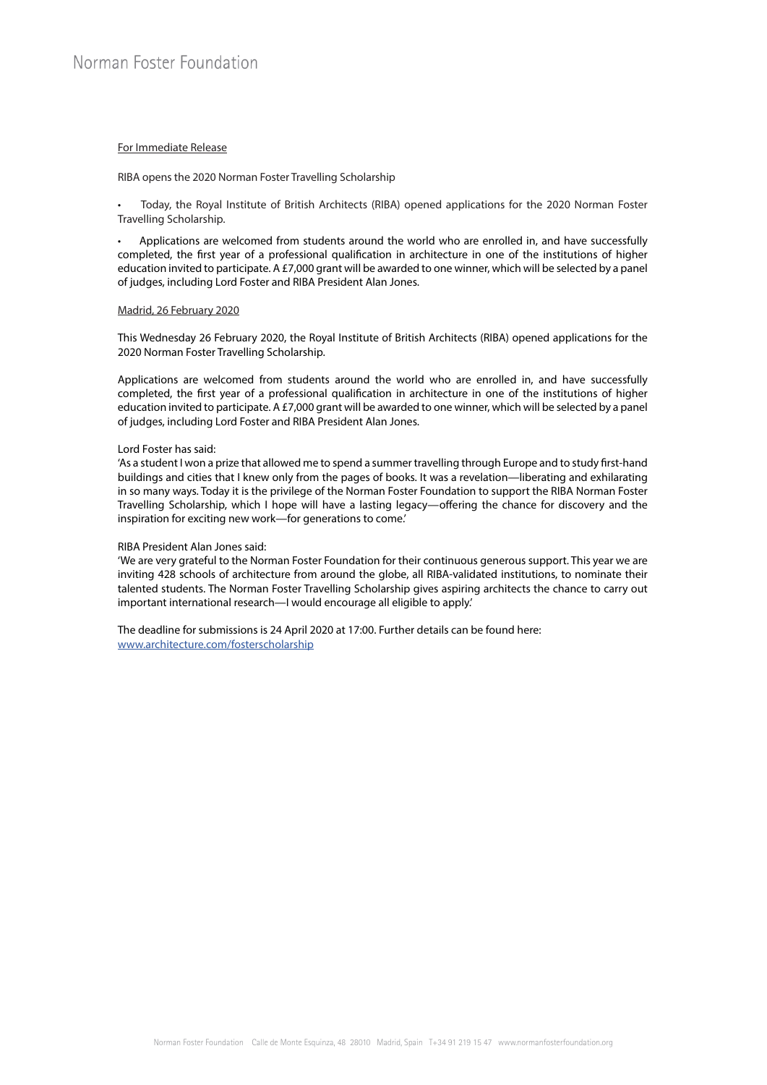## For Immediate Release

RIBA opens the 2020 Norman Foster Travelling Scholarship

• Today, the Royal Institute of British Architects (RIBA) opened applications for the 2020 Norman Foster Travelling Scholarship.

• Applications are welcomed from students around the world who are enrolled in, and have successfully completed, the first year of a professional qualification in architecture in one of the institutions of higher education invited to participate. A £7,000 grant will be awarded to one winner, which will be selected by a panel of judges, including Lord Foster and RIBA President Alan Jones.

#### Madrid, 26 February 2020

This Wednesday 26 February 2020, the Royal Institute of British Architects (RIBA) opened applications for the 2020 Norman Foster Travelling Scholarship.

Applications are welcomed from students around the world who are enrolled in, and have successfully completed, the first year of a professional qualification in architecture in one of the institutions of higher education invited to participate. A £7,000 grant will be awarded to one winner, which will be selected by a panel of judges, including Lord Foster and RIBA President Alan Jones.

# Lord Foster has said:

'As a student I won a prize that allowed me to spend a summer travelling through Europe and to study first-hand buildings and cities that I knew only from the pages of books. It was a revelation—liberating and exhilarating in so many ways. Today it is the privilege of the Norman Foster Foundation to support the RIBA Norman Foster Travelling Scholarship, which I hope will have a lasting legacy—offering the chance for discovery and the inspiration for exciting new work—for generations to come.'

## RIBA President Alan Jones said:

'We are very grateful to the Norman Foster Foundation for their continuous generous support. This year we are inviting 428 schools of architecture from around the globe, all RIBA-validated institutions, to nominate their talented students. The Norman Foster Travelling Scholarship gives aspiring architects the chance to carry out important international research—I would encourage all eligible to apply.'

The deadline for submissions is 24 April 2020 at 17:00. Further details can be found here: www.architecture.com/fosterscholarship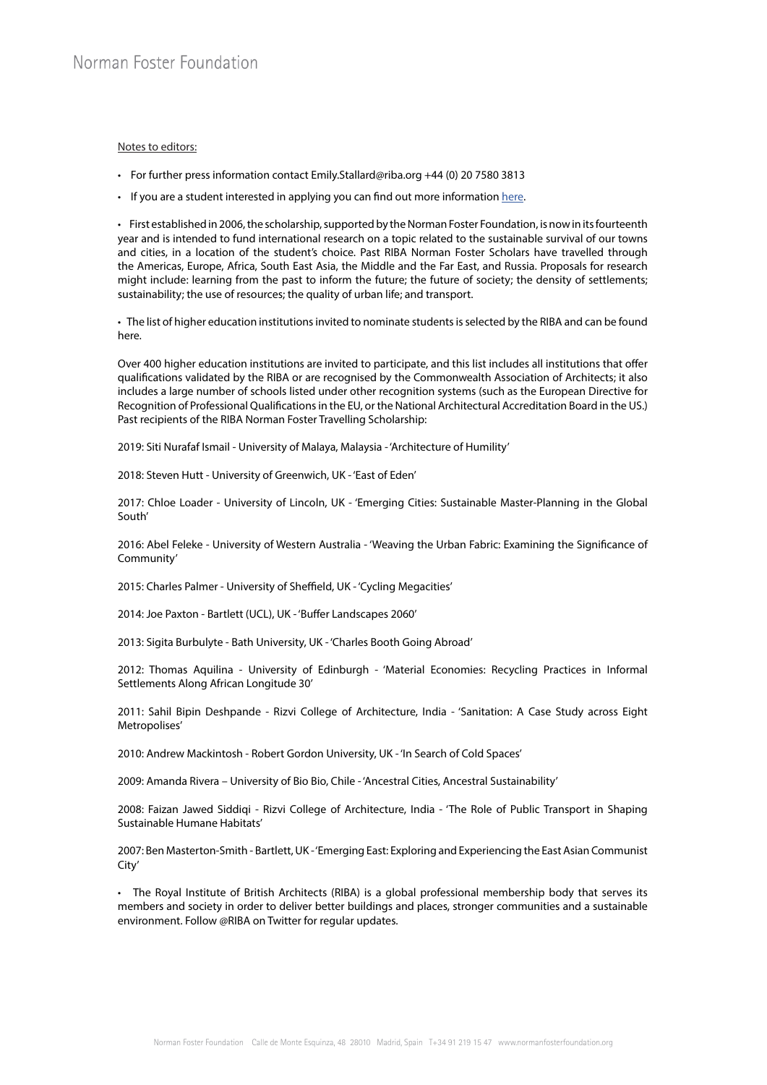### Notes to editors:

- For further press information contact Emily.Stallard@riba.org +44 (0) 20 7580 3813
- If you are a student interested in applying you can find out more information here.

• First established in 2006, the scholarship, supported by the Norman Foster Foundation, is now in its fourteenth year and is intended to fund international research on a topic related to the sustainable survival of our towns and cities, in a location of the student's choice. Past RIBA Norman Foster Scholars have travelled through the Americas, Europe, Africa, South East Asia, the Middle and the Far East, and Russia. Proposals for research might include: learning from the past to inform the future; the future of society; the density of settlements; sustainability; the use of resources; the quality of urban life; and transport.

• The list of higher education institutions invited to nominate students is selected by the RIBA and can be found here.

Over 400 higher education institutions are invited to participate, and this list includes all institutions that offer qualifications validated by the RIBA or are recognised by the Commonwealth Association of Architects; it also includes a large number of schools listed under other recognition systems (such as the European Directive for Recognition of Professional Qualifications in the EU, or the National Architectural Accreditation Board in the US.) Past recipients of the RIBA Norman Foster Travelling Scholarship:

2019: Siti Nurafaf Ismail - University of Malaya, Malaysia - 'Architecture of Humility'

2018: Steven Hutt - University of Greenwich, UK - 'East of Eden'

2017: Chloe Loader - University of Lincoln, UK - 'Emerging Cities: Sustainable Master-Planning in the Global South'

2016: Abel Feleke - University of Western Australia - 'Weaving the Urban Fabric: Examining the Significance of Community'

2015: Charles Palmer - University of Sheffield, UK - 'Cycling Megacities'

2014: Joe Paxton - Bartlett (UCL), UK - 'Buffer Landscapes 2060'

2013: Sigita Burbulyte - Bath University, UK - 'Charles Booth Going Abroad'

2012: Thomas Aquilina - University of Edinburgh - 'Material Economies: Recycling Practices in Informal Settlements Along African Longitude 30'

2011: Sahil Bipin Deshpande - Rizvi College of Architecture, India - 'Sanitation: A Case Study across Eight Metropolises'

2010: Andrew Mackintosh - Robert Gordon University, UK - 'In Search of Cold Spaces'

2009: Amanda Rivera – University of Bio Bio, Chile - 'Ancestral Cities, Ancestral Sustainability'

2008: Faizan Jawed Siddiqi - Rizvi College of Architecture, India - 'The Role of Public Transport in Shaping Sustainable Humane Habitats'

2007: Ben Masterton-Smith - Bartlett, UK - 'Emerging East: Exploring and Experiencing the East Asian Communist City'

• The Royal Institute of British Architects (RIBA) is a global professional membership body that serves its members and society in order to deliver better buildings and places, stronger communities and a sustainable environment. Follow @RIBA on Twitter for regular updates.